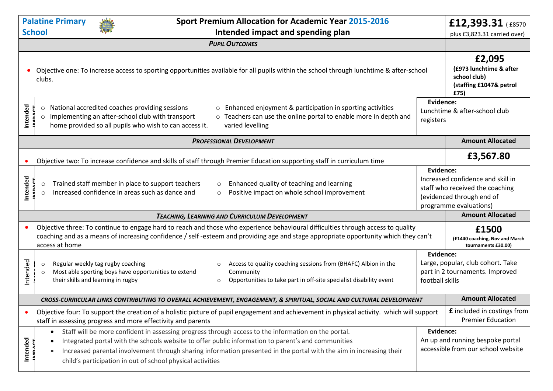| <b>Palatine Primary</b><br><b>School</b>                                                                                                          |                                                                                                                                                                                                                                                                                                                                                                                                                    | <b>Sport Premium Allocation for Academic Year 2015-2016</b>                                                                                                                                                                                                                                                |  |  |  |  |                              | £12,393.31 (£8570                                                                    |                                                                                                                             |           |
|---------------------------------------------------------------------------------------------------------------------------------------------------|--------------------------------------------------------------------------------------------------------------------------------------------------------------------------------------------------------------------------------------------------------------------------------------------------------------------------------------------------------------------------------------------------------------------|------------------------------------------------------------------------------------------------------------------------------------------------------------------------------------------------------------------------------------------------------------------------------------------------------------|--|--|--|--|------------------------------|--------------------------------------------------------------------------------------|-----------------------------------------------------------------------------------------------------------------------------|-----------|
|                                                                                                                                                   | Intended impact and spending plan<br><b>PUPIL OUTCOMES</b>                                                                                                                                                                                                                                                                                                                                                         |                                                                                                                                                                                                                                                                                                            |  |  |  |  |                              | plus £3,823.31 carried over)                                                         |                                                                                                                             |           |
| Objective one: To increase access to sporting opportunities available for all pupils within the school through lunchtime & after-school<br>clubs. |                                                                                                                                                                                                                                                                                                                                                                                                                    |                                                                                                                                                                                                                                                                                                            |  |  |  |  |                              | £2,095<br>(£973 lunchtime & after<br>school club)<br>(staffing £1047& petrol<br>£75) |                                                                                                                             |           |
| Intended                                                                                                                                          | <b>Evidence:</b><br>National accredited coaches providing sessions<br>○ Enhanced enjoyment & participation in sporting activities<br>$\circ$<br>Implementing an after-school club with transport<br>o Teachers can use the online portal to enable more in depth and<br>$\circ$<br>registers<br>home provided so all pupils who wish to can access it.<br>varied levelling                                         |                                                                                                                                                                                                                                                                                                            |  |  |  |  |                              | Lunchtime & after-school club                                                        |                                                                                                                             |           |
|                                                                                                                                                   | <b>PROFESSIONAL DEVELOPMENT</b>                                                                                                                                                                                                                                                                                                                                                                                    |                                                                                                                                                                                                                                                                                                            |  |  |  |  |                              | <b>Amount Allocated</b>                                                              |                                                                                                                             |           |
| $\bullet$                                                                                                                                         | Objective two: To increase confidence and skills of staff through Premier Education supporting staff in curriculum time                                                                                                                                                                                                                                                                                            |                                                                                                                                                                                                                                                                                                            |  |  |  |  |                              |                                                                                      |                                                                                                                             | £3,567.80 |
| Intended                                                                                                                                          | $\circ$<br>$\circ$                                                                                                                                                                                                                                                                                                                                                                                                 | Trained staff member in place to support teachers<br>Enhanced quality of teaching and learning<br>$\circ$<br>Increased confidence in areas such as dance and<br>Positive impact on whole school improvement<br>$\circ$                                                                                     |  |  |  |  |                              | <b>Evidence:</b>                                                                     | Increased confidence and skill in<br>staff who received the coaching<br>(evidenced through end of<br>programme evaluations) |           |
| TEACHING, LEARNING AND CURRICULUM DEVELOPMENT                                                                                                     |                                                                                                                                                                                                                                                                                                                                                                                                                    |                                                                                                                                                                                                                                                                                                            |  |  |  |  |                              | <b>Amount Allocated</b>                                                              |                                                                                                                             |           |
|                                                                                                                                                   | Objective three: To continue to engage hard to reach and those who experience behavioural difficulties through access to quality<br>coaching and as a means of increasing confidence / self-esteem and providing age and stage appropriate opportunity which they can't<br>access at home                                                                                                                          |                                                                                                                                                                                                                                                                                                            |  |  |  |  |                              |                                                                                      | £1500<br>(£1440 coaching, Nov and March<br>tournaments £30.00)                                                              |           |
| ntended                                                                                                                                           | $\circ$                                                                                                                                                                                                                                                                                                                                                                                                            | Regular weekly tag rugby coaching<br>Access to quality coaching sessions from (BHAFC) Albion in the<br>$\circ$<br>Most able sporting boys have opportunities to extend<br>Community<br>their skills and learning in rugby<br>Opportunities to take part in off-site specialist disability event<br>$\circ$ |  |  |  |  | Evidence:<br>football skills | Large, popular, club cohort. Take<br>part in 2 tournaments. Improved                 |                                                                                                                             |           |
|                                                                                                                                                   | CROSS-CURRICULAR LINKS CONTRIBUTING TO OVERALL ACHIEVEMENT, ENGAGEMENT, & SPIRITUAL, SOCIAL AND CULTURAL DEVELOPMENT                                                                                                                                                                                                                                                                                               |                                                                                                                                                                                                                                                                                                            |  |  |  |  |                              |                                                                                      | <b>Amount Allocated</b>                                                                                                     |           |
|                                                                                                                                                   | Objective four: To support the creation of a holistic picture of pupil engagement and achievement in physical activity. which will support<br>staff in assessing progress and more effectivity and parents                                                                                                                                                                                                         |                                                                                                                                                                                                                                                                                                            |  |  |  |  |                              |                                                                                      | <b>f</b> included in costings from<br><b>Premier Education</b>                                                              |           |
| Intended                                                                                                                                          | Staff will be more confident in assessing progress through access to the information on the portal.<br><b>Evidence:</b><br>Integrated portal with the schools website to offer public information to parent's and communities<br>Increased parental involvement through sharing information presented in the portal with the aim in increasing their<br>child's participation in out of school physical activities |                                                                                                                                                                                                                                                                                                            |  |  |  |  |                              | An up and running bespoke portal<br>accessible from our school website               |                                                                                                                             |           |